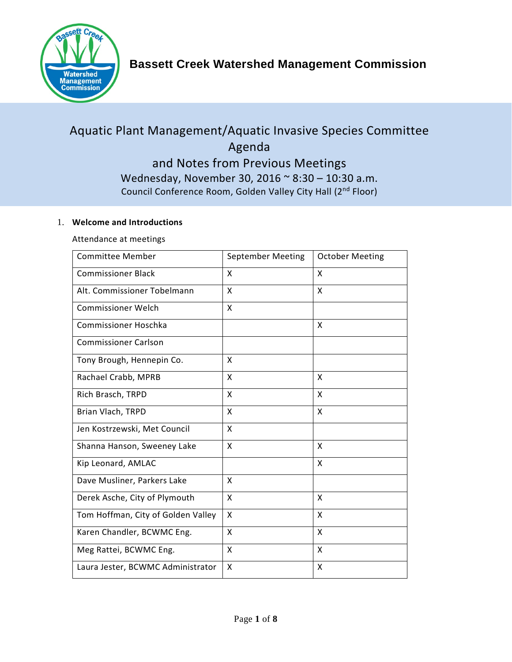

# Aquatic Plant Management/Aquatic Invasive Species Committee Agenda and Notes from Previous Meetings Wednesday, November 30, 2016 ~ 8:30 – 10:30 a.m.

Council Conference Room, Golden Valley City Hall (2nd Floor)

## 1. **Welcome and Introductions**

Attendance at meetings

| <b>Committee Member</b>            | September Meeting | <b>October Meeting</b> |
|------------------------------------|-------------------|------------------------|
| <b>Commissioner Black</b>          | X                 | X                      |
| Alt. Commissioner Tobelmann        | X                 | X                      |
| <b>Commissioner Welch</b>          | X                 |                        |
| Commissioner Hoschka               |                   | X                      |
| <b>Commissioner Carlson</b>        |                   |                        |
| Tony Brough, Hennepin Co.          | X                 |                        |
| Rachael Crabb, MPRB                | X                 | X                      |
| Rich Brasch, TRPD                  | X                 | X                      |
| Brian Vlach, TRPD                  | X                 | X                      |
| Jen Kostrzewski, Met Council       | X                 |                        |
| Shanna Hanson, Sweeney Lake        | X                 | X                      |
| Kip Leonard, AMLAC                 |                   | X                      |
| Dave Musliner, Parkers Lake        | X                 |                        |
| Derek Asche, City of Plymouth      | X                 | X                      |
| Tom Hoffman, City of Golden Valley | X                 | X                      |
| Karen Chandler, BCWMC Eng.         | X                 | X                      |
| Meg Rattei, BCWMC Eng.             | X                 | X                      |
| Laura Jester, BCWMC Administrator  | X                 | X                      |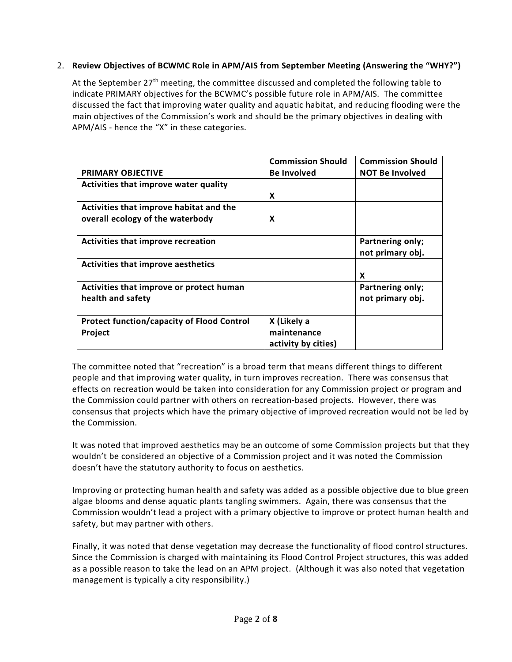## 2. **Review Objectives of BCWMC Role in APM/AIS from September Meeting (Answering the "WHY?")**

At the September 27<sup>th</sup> meeting, the committee discussed and completed the following table to indicate PRIMARY objectives for the BCWMC's possible future role in APM/AIS. The committee discussed the fact that improving water quality and aquatic habitat, and reducing flooding were the main objectives of the Commission's work and should be the primary objectives in dealing with APM/AIS - hence the "X" in these categories.

|                                                   | <b>Commission Should</b> | <b>Commission Should</b> |
|---------------------------------------------------|--------------------------|--------------------------|
| <b>PRIMARY OBJECTIVE</b>                          | <b>Be Involved</b>       | <b>NOT Be Involved</b>   |
| Activities that improve water quality             |                          |                          |
|                                                   | X                        |                          |
| Activities that improve habitat and the           |                          |                          |
| overall ecology of the waterbody                  | X                        |                          |
|                                                   |                          |                          |
| Activities that improve recreation                |                          | Partnering only;         |
|                                                   |                          | not primary obj.         |
| Activities that improve aesthetics                |                          |                          |
|                                                   |                          | X                        |
| Activities that improve or protect human          |                          | Partnering only;         |
| health and safety                                 |                          | not primary obj.         |
|                                                   |                          |                          |
| <b>Protect function/capacity of Flood Control</b> | X (Likely a              |                          |
| Project                                           | maintenance              |                          |
|                                                   | activity by cities)      |                          |

The committee noted that "recreation" is a broad term that means different things to different people and that improving water quality, in turn improves recreation. There was consensus that effects on recreation would be taken into consideration for any Commission project or program and the Commission could partner with others on recreation-based projects. However, there was consensus that projects which have the primary objective of improved recreation would not be led by the Commission.

It was noted that improved aesthetics may be an outcome of some Commission projects but that they wouldn't be considered an objective of a Commission project and it was noted the Commission doesn't have the statutory authority to focus on aesthetics.

Improving or protecting human health and safety was added as a possible objective due to blue green algae blooms and dense aquatic plants tangling swimmers. Again, there was consensus that the Commission wouldn't lead a project with a primary objective to improve or protect human health and safety, but may partner with others.

Finally, it was noted that dense vegetation may decrease the functionality of flood control structures. Since the Commission is charged with maintaining its Flood Control Project structures, this was added as a possible reason to take the lead on an APM project. (Although it was also noted that vegetation management is typically a city responsibility.)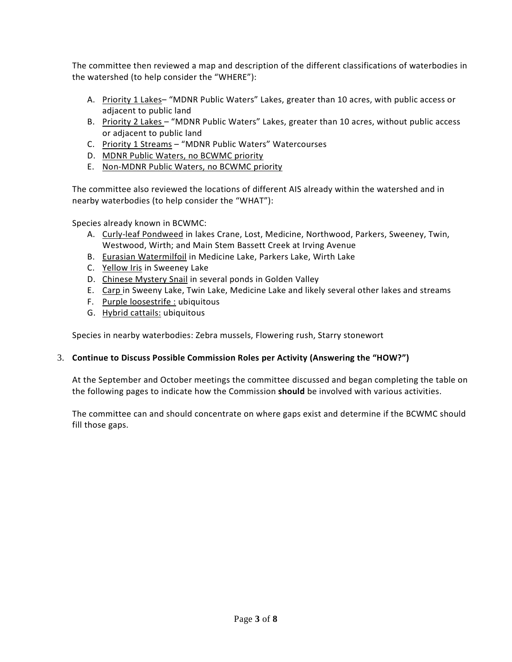The committee then reviewed a map and description of the different classifications of waterbodies in the watershed (to help consider the "WHERE"):

- A. Priority 1 Lakes- "MDNR Public Waters" Lakes, greater than 10 acres, with public access or adjacent to public land
- B. Priority 2 Lakes "MDNR Public Waters" Lakes, greater than 10 acres, without public access or adjacent to public land
- C. Priority 1 Streams "MDNR Public Waters" Watercourses
- D. MDNR Public Waters, no BCWMC priority
- E. Non-MDNR Public Waters, no BCWMC priority

The committee also reviewed the locations of different AIS already within the watershed and in nearby waterbodies (to help consider the "WHAT"):

Species already known in BCWMC:

- A. Curly-leaf Pondweed in lakes Crane, Lost, Medicine, Northwood, Parkers, Sweeney, Twin, Westwood, Wirth; and Main Stem Bassett Creek at Irving Avenue
- B. Eurasian Watermilfoil in Medicine Lake, Parkers Lake, Wirth Lake
- C. Yellow Iris in Sweeney Lake
- D. Chinese Mystery Snail in several ponds in Golden Valley
- E. Carp in Sweeny Lake, Twin Lake, Medicine Lake and likely several other lakes and streams
- F. Purple loosestrife : ubiquitous
- G. Hybrid cattails: ubiquitous

Species in nearby waterbodies: Zebra mussels, Flowering rush, Starry stonewort

#### 3. **Continue to Discuss Possible Commission Roles per Activity (Answering the "HOW?")**

At the September and October meetings the committee discussed and began completing the table on the following pages to indicate how the Commission **should** be involved with various activities.

The committee can and should concentrate on where gaps exist and determine if the BCWMC should fill those gaps.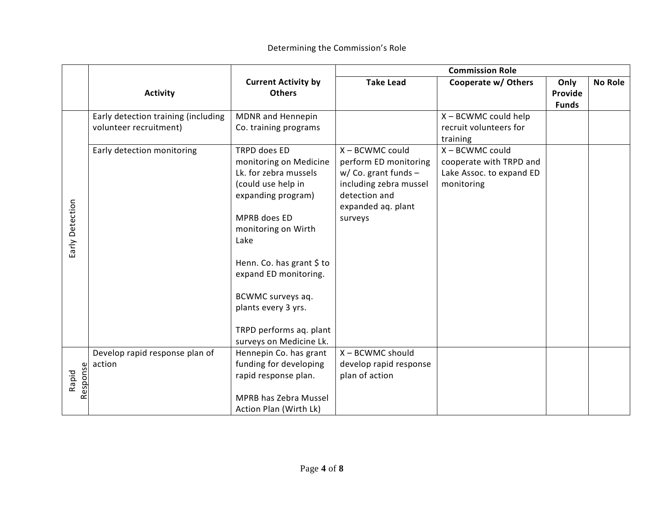|                   |                                                               |                                                                                                                                                                                                                                                                                                                    | <b>Commission Role</b>                                                                                                                         |                                                                                      |                                 |                |
|-------------------|---------------------------------------------------------------|--------------------------------------------------------------------------------------------------------------------------------------------------------------------------------------------------------------------------------------------------------------------------------------------------------------------|------------------------------------------------------------------------------------------------------------------------------------------------|--------------------------------------------------------------------------------------|---------------------------------|----------------|
|                   | <b>Activity</b>                                               | <b>Current Activity by</b><br><b>Others</b>                                                                                                                                                                                                                                                                        | <b>Take Lead</b>                                                                                                                               | Cooperate w/ Others                                                                  | Only<br>Provide<br><b>Funds</b> | <b>No Role</b> |
|                   | Early detection training (including<br>volunteer recruitment) | MDNR and Hennepin<br>Co. training programs                                                                                                                                                                                                                                                                         |                                                                                                                                                | X - BCWMC could help<br>recruit volunteers for<br>training                           |                                 |                |
| Early Detection   | Early detection monitoring                                    | TRPD does ED<br>monitoring on Medicine<br>Lk. for zebra mussels<br>(could use help in<br>expanding program)<br>MPRB does ED<br>monitoring on Wirth<br>Lake<br>Henn. Co. has grant \$ to<br>expand ED monitoring.<br>BCWMC surveys aq.<br>plants every 3 yrs.<br>TRPD performs aq. plant<br>surveys on Medicine Lk. | X - BCWMC could<br>perform ED monitoring<br>$w/$ Co. grant funds -<br>including zebra mussel<br>detection and<br>expanded aq. plant<br>surveys | X - BCWMC could<br>cooperate with TRPD and<br>Lake Assoc. to expand ED<br>monitoring |                                 |                |
| Response<br>Rapid | Develop rapid response plan of<br>action                      | Hennepin Co. has grant<br>funding for developing<br>rapid response plan.<br>MPRB has Zebra Mussel<br>Action Plan (Wirth Lk)                                                                                                                                                                                        | X - BCWMC should<br>develop rapid response<br>plan of action                                                                                   |                                                                                      |                                 |                |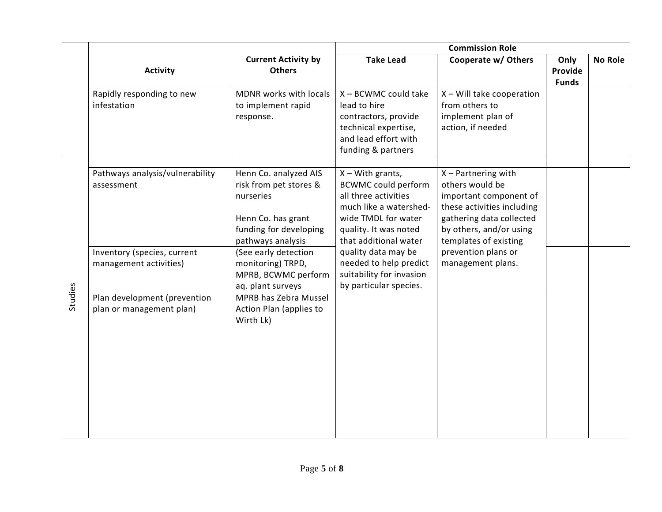|         |                                                          |                                                                                                                                   | <b>Commission Role</b>                                                                                                                                                      |                                                                                                                                                                                  |                                 |                |
|---------|----------------------------------------------------------|-----------------------------------------------------------------------------------------------------------------------------------|-----------------------------------------------------------------------------------------------------------------------------------------------------------------------------|----------------------------------------------------------------------------------------------------------------------------------------------------------------------------------|---------------------------------|----------------|
|         | <b>Activity</b>                                          | <b>Current Activity by</b><br><b>Others</b>                                                                                       | <b>Take Lead</b>                                                                                                                                                            | Cooperate w/ Others                                                                                                                                                              | Only<br>Provide<br><b>Funds</b> | <b>No Role</b> |
|         | Rapidly responding to new<br>infestation                 | MDNR works with locals<br>to implement rapid<br>response.                                                                         | $X - BCWMC$ could take<br>lead to hire<br>contractors, provide<br>technical expertise,<br>and lead effort with<br>funding & partners                                        | X - Will take cooperation<br>from others to<br>implement plan of<br>action, if needed                                                                                            |                                 |                |
|         | Pathways analysis/vulnerability<br>assessment            | Henn Co. analyzed AIS<br>risk from pet stores &<br>nurseries<br>Henn Co. has grant<br>funding for developing<br>pathways analysis | $X - With$ grants,<br><b>BCWMC could perform</b><br>all three activities<br>much like a watershed-<br>wide TMDL for water<br>quality. It was noted<br>that additional water | $X$ – Partnering with<br>others would be<br>important component of<br>these activities including<br>gathering data collected<br>by others, and/or using<br>templates of existing |                                 |                |
|         | Inventory (species, current<br>management activities)    | (See early detection<br>monitoring) TRPD,<br>MPRB, BCWMC perform<br>aq. plant surveys                                             | quality data may be<br>needed to help predict<br>suitability for invasion<br>by particular species.                                                                         | prevention plans or<br>management plans.                                                                                                                                         |                                 |                |
| Studies | Plan development (prevention<br>plan or management plan) | MPRB has Zebra Mussel<br>Action Plan (applies to<br>Wirth Lk)                                                                     |                                                                                                                                                                             |                                                                                                                                                                                  |                                 |                |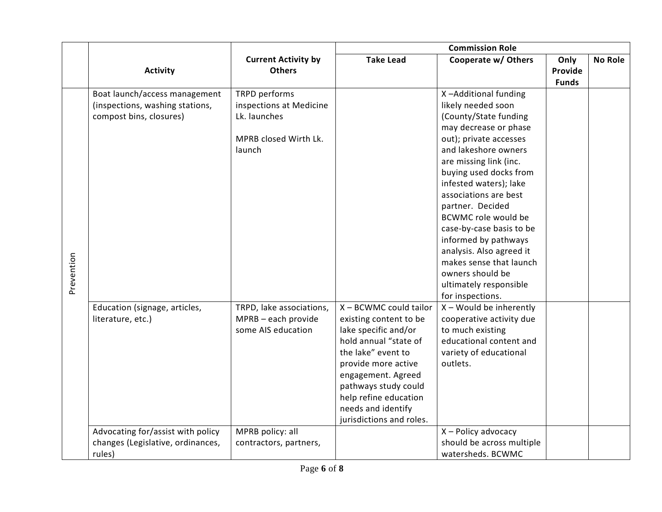|            |                                   |                            | <b>Commission Role</b>                        |                                    |              |                |
|------------|-----------------------------------|----------------------------|-----------------------------------------------|------------------------------------|--------------|----------------|
|            |                                   | <b>Current Activity by</b> | <b>Take Lead</b>                              | Cooperate w/ Others                | Only         | <b>No Role</b> |
|            | <b>Activity</b>                   | <b>Others</b>              |                                               |                                    | Provide      |                |
|            |                                   |                            |                                               |                                    | <b>Funds</b> |                |
|            | Boat launch/access management     | TRPD performs              |                                               | X-Additional funding               |              |                |
|            | (inspections, washing stations,   | inspections at Medicine    |                                               | likely needed soon                 |              |                |
|            | compost bins, closures)           | Lk. launches               |                                               | (County/State funding              |              |                |
|            |                                   |                            |                                               | may decrease or phase              |              |                |
|            |                                   | MPRB closed Wirth Lk.      |                                               | out); private accesses             |              |                |
|            |                                   | launch                     |                                               | and lakeshore owners               |              |                |
|            |                                   |                            |                                               | are missing link (inc.             |              |                |
|            |                                   |                            |                                               | buying used docks from             |              |                |
|            |                                   |                            |                                               | infested waters); lake             |              |                |
|            |                                   |                            |                                               | associations are best              |              |                |
|            |                                   |                            |                                               | partner. Decided                   |              |                |
|            |                                   |                            |                                               | <b>BCWMC role would be</b>         |              |                |
|            |                                   |                            |                                               | case-by-case basis to be           |              |                |
|            |                                   |                            |                                               | informed by pathways               |              |                |
|            |                                   |                            |                                               | analysis. Also agreed it           |              |                |
|            |                                   |                            |                                               | makes sense that launch            |              |                |
|            |                                   |                            |                                               | owners should be                   |              |                |
| Prevention |                                   |                            |                                               | ultimately responsible             |              |                |
|            |                                   |                            |                                               | for inspections.                   |              |                |
|            | Education (signage, articles,     | TRPD, lake associations,   | X - BCWMC could tailor                        | X - Would be inherently            |              |                |
|            | literature, etc.)                 | MPRB - each provide        | existing content to be                        | cooperative activity due           |              |                |
|            |                                   | some AIS education         | lake specific and/or                          | to much existing                   |              |                |
|            |                                   |                            | hold annual "state of                         | educational content and            |              |                |
|            |                                   |                            | the lake" event to                            | variety of educational<br>outlets. |              |                |
|            |                                   |                            | provide more active                           |                                    |              |                |
|            |                                   |                            | engagement. Agreed                            |                                    |              |                |
|            |                                   |                            | pathways study could<br>help refine education |                                    |              |                |
|            |                                   |                            | needs and identify                            |                                    |              |                |
|            |                                   |                            | jurisdictions and roles.                      |                                    |              |                |
|            | Advocating for/assist with policy | MPRB policy: all           |                                               | X - Policy advocacy                |              |                |
|            | changes (Legislative, ordinances, | contractors, partners,     |                                               | should be across multiple          |              |                |
|            |                                   |                            |                                               | watersheds. BCWMC                  |              |                |
|            | rules)                            |                            |                                               |                                    |              |                |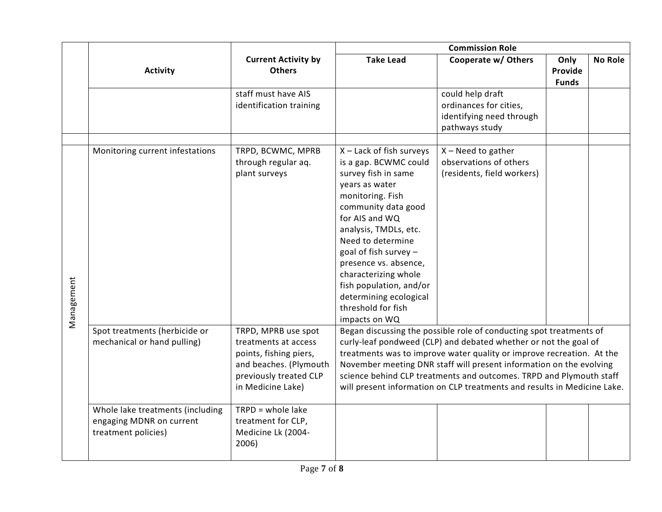|            |                                                                                     |                                                                                                                                                | <b>Commission Role</b>                                                                                                                                                                                                                                                                                                                                                      |                                                                                                                                                                                                                                                                                                                                                                                                                                            |                                 |                |
|------------|-------------------------------------------------------------------------------------|------------------------------------------------------------------------------------------------------------------------------------------------|-----------------------------------------------------------------------------------------------------------------------------------------------------------------------------------------------------------------------------------------------------------------------------------------------------------------------------------------------------------------------------|--------------------------------------------------------------------------------------------------------------------------------------------------------------------------------------------------------------------------------------------------------------------------------------------------------------------------------------------------------------------------------------------------------------------------------------------|---------------------------------|----------------|
|            | <b>Activity</b>                                                                     | <b>Current Activity by</b><br><b>Others</b>                                                                                                    | <b>Take Lead</b>                                                                                                                                                                                                                                                                                                                                                            | Cooperate w/ Others                                                                                                                                                                                                                                                                                                                                                                                                                        | Only<br>Provide<br><b>Funds</b> | <b>No Role</b> |
|            |                                                                                     | staff must have AIS<br>identification training                                                                                                 |                                                                                                                                                                                                                                                                                                                                                                             | could help draft<br>ordinances for cities,<br>identifying need through<br>pathways study                                                                                                                                                                                                                                                                                                                                                   |                                 |                |
| Management | Monitoring current infestations                                                     | TRPD, BCWMC, MPRB<br>through regular aq.<br>plant surveys                                                                                      | X - Lack of fish surveys<br>is a gap. BCWMC could<br>survey fish in same<br>years as water<br>monitoring. Fish<br>community data good<br>for AIS and WQ<br>analysis, TMDLs, etc.<br>Need to determine<br>goal of fish survey -<br>presence vs. absence,<br>characterizing whole<br>fish population, and/or<br>determining ecological<br>threshold for fish<br>impacts on WQ | $X - Need$ to gather<br>observations of others<br>(residents, field workers)                                                                                                                                                                                                                                                                                                                                                               |                                 |                |
|            | Spot treatments (herbicide or<br>mechanical or hand pulling)                        | TRPD, MPRB use spot<br>treatments at access<br>points, fishing piers,<br>and beaches. (Plymouth<br>previously treated CLP<br>in Medicine Lake) |                                                                                                                                                                                                                                                                                                                                                                             | Began discussing the possible role of conducting spot treatments of<br>curly-leaf pondweed (CLP) and debated whether or not the goal of<br>treatments was to improve water quality or improve recreation. At the<br>November meeting DNR staff will present information on the evolving<br>science behind CLP treatments and outcomes. TRPD and Plymouth staff<br>will present information on CLP treatments and results in Medicine Lake. |                                 |                |
|            | Whole lake treatments (including<br>engaging MDNR on current<br>treatment policies) | $TRPD = whole$ lake<br>treatment for CLP,<br>Medicine Lk (2004-<br>2006)                                                                       |                                                                                                                                                                                                                                                                                                                                                                             |                                                                                                                                                                                                                                                                                                                                                                                                                                            |                                 |                |